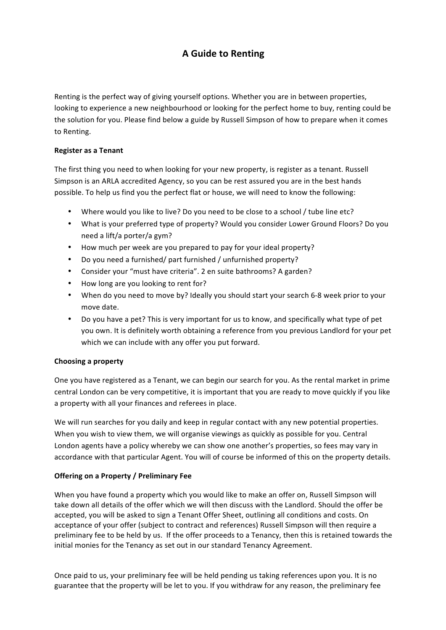# **A Guide to Renting**

Renting is the perfect way of giving yourself options. Whether you are in between properties, looking to experience a new neighbourhood or looking for the perfect home to buy, renting could be the solution for you. Please find below a guide by Russell Simpson of how to prepare when it comes to Renting.

## **Register as a Tenant**

The first thing you need to when looking for your new property, is register as a tenant. Russell Simpson is an ARLA accredited Agency, so you can be rest assured you are in the best hands possible. To help us find you the perfect flat or house, we will need to know the following:

- Where would you like to live? Do you need to be close to a school / tube line etc?
- What is your preferred type of property? Would you consider Lower Ground Floors? Do you need a lift/a porter/a gym?
- How much per week are you prepared to pay for your ideal property?
- Do you need a furnished/ part furnished / unfurnished property?
- Consider your "must have criteria". 2 en suite bathrooms? A garden?
- How long are you looking to rent for?
- When do you need to move by? Ideally you should start your search 6-8 week prior to your move date.
- Do you have a pet? This is very important for us to know, and specifically what type of pet you own. It is definitely worth obtaining a reference from you previous Landlord for your pet which we can include with any offer you put forward.

#### **Choosing a property**

One you have registered as a Tenant, we can begin our search for you. As the rental market in prime central London can be very competitive, it is important that you are ready to move quickly if you like a property with all your finances and referees in place.

We will run searches for you daily and keep in regular contact with any new potential properties. When you wish to view them, we will organise viewings as quickly as possible for you. Central London agents have a policy whereby we can show one another's properties, so fees may vary in accordance with that particular Agent. You will of course be informed of this on the property details.

#### **Offering on a Property / Preliminary Fee**

When you have found a property which you would like to make an offer on, Russell Simpson will take down all details of the offer which we will then discuss with the Landlord. Should the offer be accepted, you will be asked to sign a Tenant Offer Sheet, outlining all conditions and costs. On acceptance of your offer (subject to contract and references) Russell Simpson will then require a preliminary fee to be held by us. If the offer proceeds to a Tenancy, then this is retained towards the initial monies for the Tenancy as set out in our standard Tenancy Agreement.

Once paid to us, your preliminary fee will be held pending us taking references upon you. It is no guarantee that the property will be let to you. If you withdraw for any reason, the preliminary fee